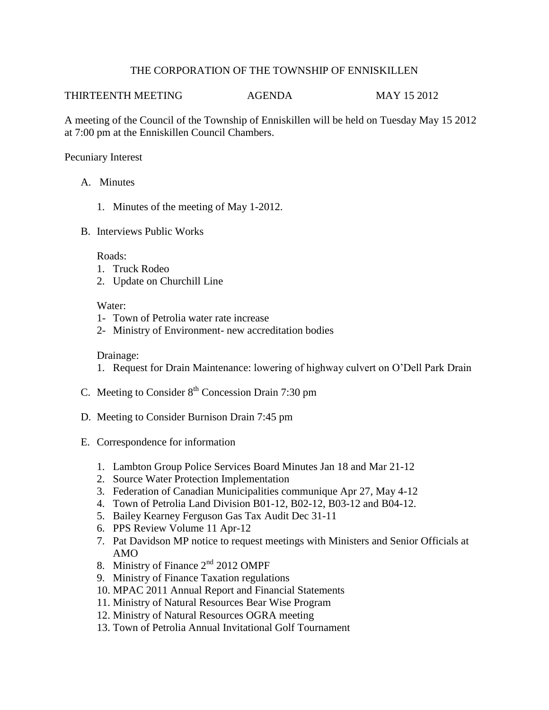## THE CORPORATION OF THE TOWNSHIP OF ENNISKILLEN

## THIRTEENTH MEETING AGENDA MAY 15 2012

A meeting of the Council of the Township of Enniskillen will be held on Tuesday May 15 2012 at 7:00 pm at the Enniskillen Council Chambers.

Pecuniary Interest

- A. Minutes
	- 1. Minutes of the meeting of May 1-2012.
- B. Interviews Public Works

Roads:

- 1. Truck Rodeo
- 2. Update on Churchill Line

## Water:

- 1- Town of Petrolia water rate increase
- 2- Ministry of Environment- new accreditation bodies

## Drainage:

- 1. Request for Drain Maintenance: lowering of highway culvert on O'Dell Park Drain
- C. Meeting to Consider  $8<sup>th</sup>$  Concession Drain 7:30 pm
- D. Meeting to Consider Burnison Drain 7:45 pm
- E. Correspondence for information
	- 1. Lambton Group Police Services Board Minutes Jan 18 and Mar 21-12
	- 2. Source Water Protection Implementation
	- 3. Federation of Canadian Municipalities communique Apr 27, May 4-12
	- 4. Town of Petrolia Land Division B01-12, B02-12, B03-12 and B04-12.
	- 5. Bailey Kearney Ferguson Gas Tax Audit Dec 31-11
	- 6. PPS Review Volume 11 Apr-12
	- 7. Pat Davidson MP notice to request meetings with Ministers and Senior Officials at AMO
	- 8. Ministry of Finance  $2<sup>nd</sup>$  2012 OMPF
	- 9. Ministry of Finance Taxation regulations
	- 10. MPAC 2011 Annual Report and Financial Statements
	- 11. Ministry of Natural Resources Bear Wise Program
	- 12. Ministry of Natural Resources OGRA meeting
	- 13. Town of Petrolia Annual Invitational Golf Tournament